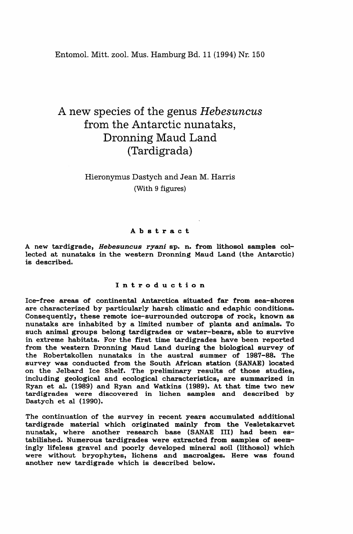Entomol. Mitt. zool. Mus. Hamburg Bd. 11 (1994) Nr. 150

# A new species of tIle genus *Hebesuncus* from the Antarctic nunataks, Dronning Maud Land (Tardigrada)

# Hieronymus Dastych and Jean M. Harris (With 9 figures)

# Abstract

A new tardigrade, *Hebesuncus ryani* sp. n. from lithosol samples collected at nunataks in the western Dronning Maud Land (the Antarctic) is described.

# Introduction

Ice-free areas of continental Antarctica situated far from sea-shores are characterized by particularly harsh climatic and edaphic conditions. Consequently, these remote ice-surrounded outcrops of rock, known as nunataks are inhabited by a limited number of plants and animals. To such animal groups belong tardigrades or water-bears, able to survive in extreme habitats. For the first time tardigrades have been reported from the western Dronning Maud Land during the biological survey of the Robertskollen nunataks in the austral summer of 1987-88. The survey was conducted from the South African station (SANAE) located on the Jelbard Ice Shelf. The preliminary results of those studies, including geological and ecological characteristics, are summarized in Ryan et al. (1989) and Ryan and Watkins (1989). At that time two new tardigrades were discovered in lichen samples and described by Dastych et al (1990).

The continuation of the survey in recent years accumulated additional tardigrade material which originated mainly from the Vesletskarvet nunatak, where another research base (SANAE Ill) had been estabilished. Numerous tardigrades were extracted from samples of seemingly lifeless gravel and poorly developed mineral soil (lithosol) which were without bryophytes, lichens and macroalges. Here was found another new tardigrade which is described below.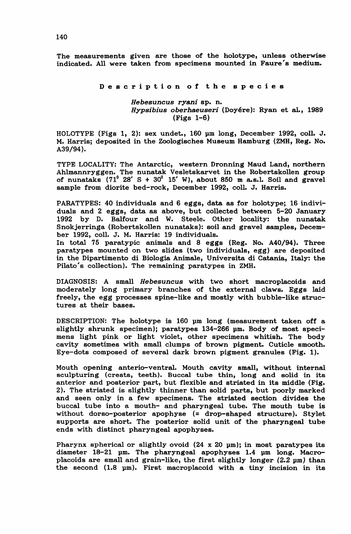The measurements given are those of the holotype, unless otherwise indicated. All were taken from specimens mounted in Faure's medium.

Description of the species

*Hebesuncus ryani* sp. n. *Hypsibius oberhaeuseri* (Doyere): Ryan et al., 1989 (Figs 1-6)

HOLOTYPE (Figs 1, 2): sex undet., 160 pm long, December 1992, coll. J. M. Harris; deposited in the Zoologisches Museum Hamburg (ZMH, Reg. No. A39/94).

TYPE LOCALITY: The Antarctic, western Dronning Maud Land, northern Ahlmannryggen. The nunatak Vesletskarvet in the Robertskollen group of nunataks  $(71^{\circ}$  28' S + 30 $^{\circ}$  15' W), about 850 m a.s.l. Soil and gravel sample from diorite bed-rock, December 1992, colI. J. Harris.

PARATYPES: 40 individuals and 6 eggs, data as for holotype; 16 individuals and 2 eggs, data as above, but collected between 5-20 January 1992 by D. Balfour and W. Steele. Other locality: the nunatak Snokjerringa (Robertskollen nunataks): soil and gravel samples, December 1992, colI. J. M. Harris: 19 individuals.

In total 75 paratypic animals and 8 eggs (Reg. No. A40/94). Three paratypes mounted on two slides (two individuals, egg) are deposited in the Dipartimento di Biologia Animale, Universita di Catania, Italy: the Pilato's collection). The remaining paratypes in ZMH.

DIAGNOSIS: A small *Hebesuncus* with two short macroplacoids and moderately long primary branches of the external claws. Eggs laid freely, the egg processes spine-like and mostly with bubble-like structures at their bases.

DESCRIPTION: The holotype is 160 pm long (measurement taken off a slightly shrunk specimen); paratypes 134-266 um. Body of most specimens light pink or light violet, other specimens whitish. The body cavity sometimes with small clumps of brown pigment. Cuticle smooth. Eye-dots composed of several dark brown pigment granules (Fig. 1).

Mouth opening anterio-ventral. Mouth cavity small, without internal sculpturing (crests, teeth). Buccal tube thin, long and solid in its anterior and posterior part, but flexible and striated in its middle (Fig. 2). The striated is slightly thinner than solid parts, but poorly marked and seen only in a few specimens. The striated section divides the buccal tube into a mouth- and pharyngeal tube. The mouth tube is without dorso-posterior apophyse (= drop-shaped structure). Stylet supports are short. The posterior solid unit of the pharyngeal tube ends with distinct pharyngeal apophyses.

Pharynx spherical or slightly ovoid  $(24 \times 20 \text{ nm})$ ; in most paratypes its diameter  $18-21$  um. The pharyngeal apophyses 1.4 um long. Macroplacoids are small and grain-like, the first slightly longer  $(2.2 \text{ µm})$  than the second (1.8 pm). First macroplacoid with a tiny incision in its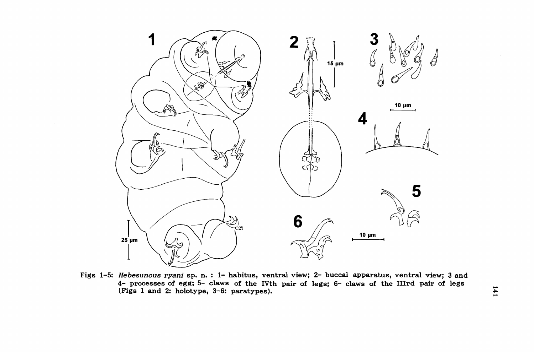

Figs 1-5: Hebesuncus ryani sp. n. : 1- habitus, ventral view; 2- buccal apparatus, ventral view; 3 and 4- processes of egg; 5- claws of the IVth pair of legs; 6- claws of the IIIrd pair of legs (Figs 1 and 2: holotype, 3-6: paratypes).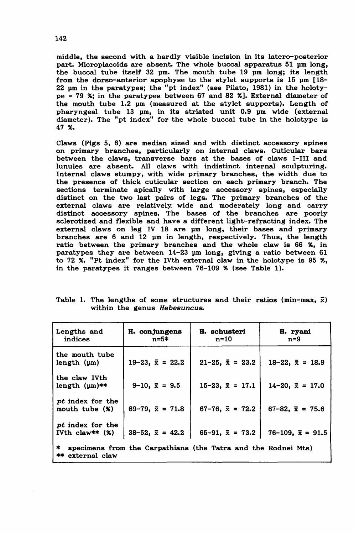middle, the second with a hardly visible incision in its latero-posterior part. Microplacoids are absent. The whole buccal apparatus 51 pm long, the buccal tube itself 32 um. The mouth tube 19 um long; its length from the dorso-anterior apophyse to the stylet supports is  $15 \text{ nm}$  [18-22 pm in the paratypes; the "pt index" (see Pilato, 1981) in the holotype = 79 X; in the paratypes between 67 and 82 Xl. External diameter of the mouth tube 1.2 pm (measured at the stylet supports). Length of pharyngeal tube 13 pm, in its striated unit 0.9 pm wide (external diameter). The "pt index" for the whole buccal tube in the holotype is 47 X.

Claws (Figs 5, 6) are median sized and with distinct accessory spines on primary branches, particularly on internal claws. Cuticular bars between the claws, transverse bars at the bases of claws I-Ill and lunules are absent. All claws with indistinct internal sculpturing. Internal claws stumpy, with wide primary branches, the width due to the presence of thick cuticular section on each primary branch. The sections terminate apically with large accessory spines, especially distinct on the two last pairs of legs. The primary branches of the external claws are relatively wide and moderately long and carry distinct accessory spines. The bases of the branches are poorly sclerotized and flexible and have a different light-refracting index. The external claws on leg IV 18 are um long, their bases and primary branches are 6 and 12 um in length, respectively. Thus, the length ratio between the primary branches and the whole claw is 66 X, in paratypes they are between  $14-23$  um long, giving a ratio between 61 to 72 %. "Pt index" for the IVth external claw in the holotype is 95 %, in the paratypes it ranges between  $76-109$  % (see Table 1).

| Lengths and<br>indices                                                                    | H. conjungens<br>n=5*      | H. schusteri<br>n=10       | H. ryani<br>n=9             |
|-------------------------------------------------------------------------------------------|----------------------------|----------------------------|-----------------------------|
| the mouth tube<br>length (µm)                                                             | $19-23$ , $\bar{x} = 22.2$ | $21-25$ , $\bar{x} = 23.2$ | $18-22$ , $\bar{x} = 18.9$  |
| the claw IVth<br>length $(\mu m)$ **                                                      | $9-10$ , $\bar{x} = 9.5$   | $15-23$ , $\bar{x} = 17.1$ | $14-20$ , $\bar{x} = 17.0$  |
| pt index for the<br>mouth tube (%)                                                        | $69-79$ , $\bar{x} = 71.8$ | $67-76$ , $\bar{x}$ = 72.2 | $67-82$ , $\bar{x} = 75.6$  |
| pt index for the<br>IVth $claw**$ $(%)$                                                   | $38-52$ , $\bar{x} = 42.2$ | $65-91$ , $\bar{x} = 73.2$ | $76-109$ , $\bar{x} = 91.5$ |
| *<br>specimens from the Carpathians (the Tatra and the Rodnei Mts)<br>**<br>external claw |                            |                            |                             |

Table 1. The lengths of some structures and their ratios (min-max,  $\bar{x}$ ) within the genus Hebesuncus.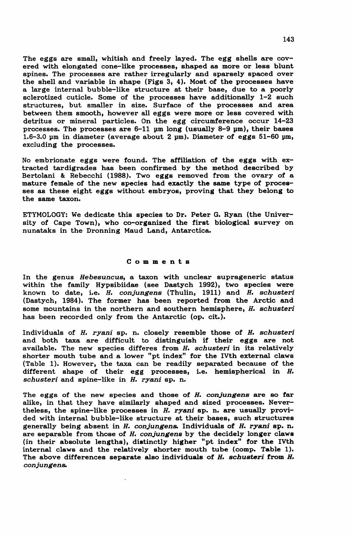The eggs are small, whitish and freely layed. The egg shells are covered with elongated cone-like processes, shaped as more or less blunt spines. The processes are rather irregularly and sparsely spaced over the shell and variable in shape (Figs 3, 4). Most of the processes have a large internal bubble-like structure at their base, due to a poorly sclerotized cuticle. Some of the processes have additionally 1-2 such structures, but smaller in size. Surface of the processes and area between them smooth, however all eggs were more or less covered with detritus or mineral particles. On the egg circumference occur 14-23 processes. The processes are  $6-11$   $\mu$ m long (usually  $8-9$   $\mu$ m), their bases 1.6-3.0 pm in diameter (average about 2 pm). Diameter of eggs 51-60 pm, excluding the processes.

No embrionate eggs were found. The affiliation of the eggs with extracted tardigrades has been confirmed by the method described by Bertolani & Rebecchi (1988). Two eggs removed from the ovary of a mature female of the new species had exactly the same type of processes as these eight eggs without embryos, proving that they belong to the same taxon.

ETYMOLOGY: We dedicate this species to Dr. Peter G. Ryan (the University of Cape Town), who co-organized the first biological survey on nunataks in the Dronning Maud Land, Antarctica.

#### Comments

In the genus *Hebesuncus,* a taxon with unclear suprageneric status within the family Hypsibiidae (see Dastych 1992), two species were known to date, i.e. *H. conjungens* (Thulin, 1911) and *H. schusteri* (Dastych, 1984). The former has been reported from the Arctic and some mountains in the northern and southern hemisphere, H. *schusteri* has been recorded only from the Antarctic (op. cit.).

Individuals of H. *ryani* sp. n. closely resemble those of H. *schusteri* and both taxa are difficult to distinguish if their eggs are not available. The new species differes from *H. schusteri* in its relatively shorter mouth tube and a lower "pt index" for the IVth external claws (Table 1). However, the taxa can be readily separated because of the different shape of their egg processes, i.e. hemispherical in H. *schusteri* and spine-like in H. *ryani* sp. n.

The eggs of the new species and those of H. *conjungens* are so far alike, in that they have similarly shaped and sized processes. Nevertheless, the spine-like processes in H. *ryani* sp. n. are usually provided with internal bubble-like structure at their bases, such structures generally being absent in H. *conjungen&* Individuals of H. *ryani* sp. n. are separable from those of H. *conjungens* by the decidely longer claws (in their absolute lengths), distinctly higher "pt index" for the IVth internal claws and the relatively shorter mouth tube (comp. Table 1). The above differences separate also individuals of H. *Bchusteri* from *H. conjungen&*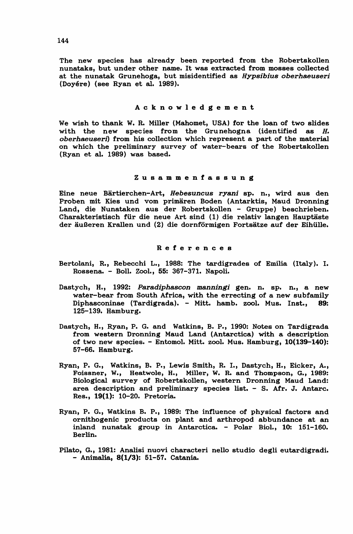The new species has already been reported from the Robertskollen nunataks, but under other name. It was extracted from mosses collected at the nunatak Grunehoga, but misidentified as *Hypsibius oberhaeuseri* (Doyere) (see Ryan et al. 1989).

#### Acknowledgement

We wish to thank W. R. Miller (Mahomet, USA) for the loan of two slides with the new species from the Grunehogna (identified as H. *oberhaeuseri)* from his collection which represent a part of the material on which the preliminary survey of water-bears of the Robertskollen (Ryan et al. 1989) was based.

## Zusammenfassung

Eine neue Bartierchen-Art, *Hebesuncus ryani* sp. n., wird aus den Proben mit Kies und vom primären Boden (Antarktis, Maud Dronning Land, die Nunataken aus der Robertskollen - Gruppe) beschrieben. Charakteristisch für die neue Art sind (1) die relativ langen Hauptäste der äußeren Krallen und (2) die dornförmigen Fortsätze auf der Eihülle.

## References

- Bertolani, R., Rebecchi L., 1988: The tardigrades of Emilia (Italy). I. Rossena. - BoIl. Zool., 55: 367-371. Napoli.
- Dastych, H., 1992: *Paradiphascon manningi* gen. n. sp. n., a new water-bear from South Africa, with the errecting of a new subfamily Diphasconinae (Tardigrada). - Mitt. hamb. zool. Mus. Inst., 89: 125-139. Hamburg.
- Dastych, H., Ryan, P. G. and Watkins, B. P., 1990: Notes on Tardigrada from western Dronning Maud Land (Antarctica) with a description of two new species. - Entomol. Mitt. zool. Mus. Hamburg, 10(139-140): 57-66. Hamburg.
- Ryan, P. G., Watkins, B. P., Lewis Smith, R. I., Dastych, H., Eicker, A., Foissner, W., Heatwole, H., Miller, W. R. and Thompson, G., 1989: Biological survey of Robertskollen, western Dronning Maud Land: area description and preliminary species list. - S. Afr. J. Antarc. Res., 19(1): 10-20. Pretoria.
- Ryan, P. G., Watkins B. P., 1989: The influence of physical factors and ornithogenic products on plant and arthropod abbundance at an inland nunatak group in Antarctica. - Polar BioI., 10: 151-160. Berlin.
- Pilato, G., 1981: Analisi nuovi characteri nello studio degli eutardigradi. - Animalia, 8(1/3): 51-57. Catania.